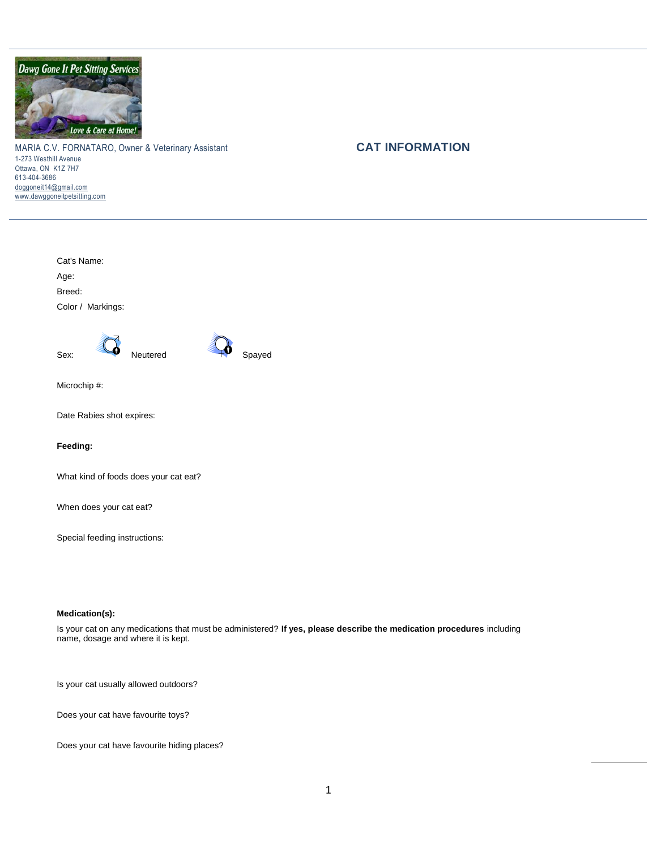

MARIA C.V. FORNATARO, Owner & Veterinary Assistant **CAT INFORMATION** 1-273 Westhill Avenue Ottawa, ON K1Z 7H7 613-404-3686 [doggoneit14@gmail.com](mailto:doggoneit14@gmail.com) [www.dawggoneitpetsitting.com](http://www.dawggoneitpetsitting.com/)

Cat's Name: Age: Breed: Color / Markings: Sex: Neutered TV Spayed Microchip #: Date Rabies shot expires: **Feeding:** What kind of foods does your cat eat? When does your cat eat?

Special feeding instructions:

## **Medication(s):**

Is your cat on any medications that must be administered? **If yes, please describe the medication procedures** including name, dosage and where it is kept.

Is your cat usually allowed outdoors?

Does your cat have favourite toys?

Does your cat have favourite hiding places?